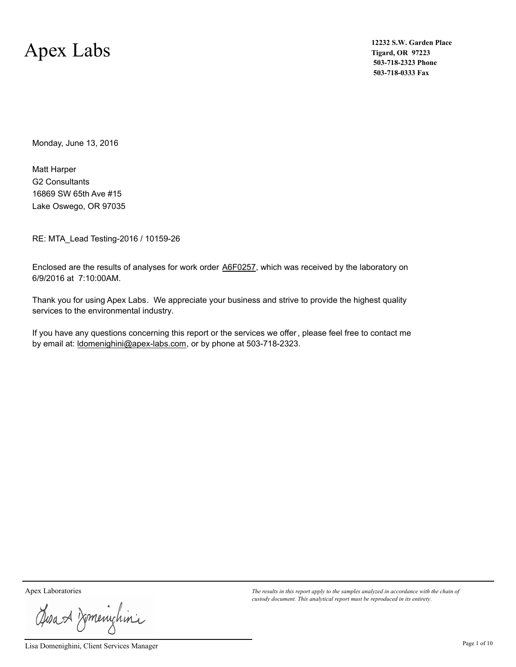### Apex Labs

**12232 S.W. Garden Place Tigard, OR 97223 503-718-2323 Phone 503-718-0333 Fax**

Monday, June 13, 2016

G2 Consultants Lake Oswego, OR 97035 16869 SW 65th Ave #15 Matt Harper

RE: MTA\_Lead Testing-2016 / 10159-26

Enclosed are the results of analyses for work order **A6F0257**, which was received by the laboratory on 6/9/2016 at 7:10:00AM.

Thank you for using Apex Labs. We appreciate your business and strive to provide the highest quality services to the environmental industry.

If you have any questions concerning this report or the services we offer, please feel free to contact me by email at: ldomenighini@apex-labs.com, or by phone at 503-718-2323.

Josan Zmenichini

Lisa Domenighini, Client Services Manager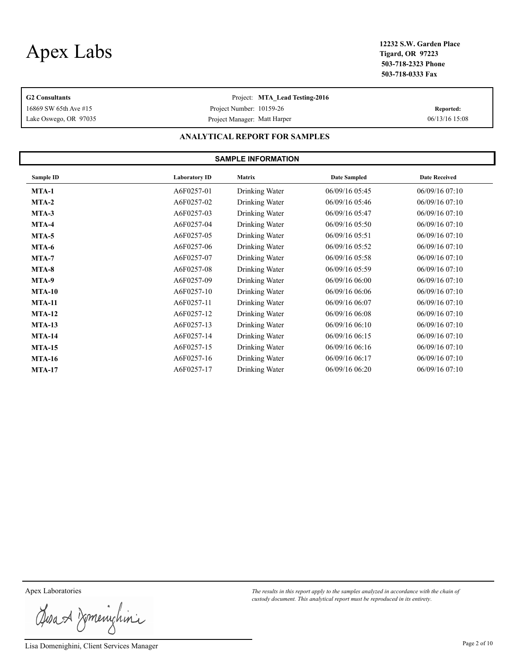**Tigard, OR 97223 503-718-2323 Phone 503-718-0333 Fax**

| <b>G2 Consultants</b><br>16869 SW 65th Ave #15<br>Lake Oswego, OR 97035 | Reported:<br>06/13/16 15:08 |                                      |                     |                      |
|-------------------------------------------------------------------------|-----------------------------|--------------------------------------|---------------------|----------------------|
|                                                                         |                             | <b>ANALYTICAL REPORT FOR SAMPLES</b> |                     |                      |
|                                                                         |                             | <b>SAMPLE INFORMATION</b>            |                     |                      |
| Sample ID                                                               | <b>Laboratory ID</b>        | Matrix                               | <b>Date Sampled</b> | <b>Date Received</b> |
| MTA-1                                                                   | A6F0257-01                  | Drinking Water                       | 06/09/16 05:45      | 06/09/1607:10        |
| $MTA-2$                                                                 | A6F0257-02                  | Drinking Water                       | 06/09/16 05:46      | 06/09/1607:10        |
| $MTA-3$                                                                 | A6F0257-03                  | Drinking Water                       | 06/09/16 05:47      | 06/09/1607:10        |
| MTA-4                                                                   | A6F0257-04                  | Drinking Water                       | 06/09/16 05:50      | 06/09/1607:10        |
| $MTA-5$                                                                 | A6F0257-05                  | Drinking Water                       | 06/09/16 05:51      | 06/09/1607:10        |
| MTA-6                                                                   | A6F0257-06                  | Drinking Water                       | 06/09/16 05:52      | 06/09/1607:10        |
| <b>MTA-7</b>                                                            | A6F0257-07                  | Drinking Water                       | 06/09/16 05:58      | 06/09/1607:10        |
| MTA-8                                                                   | A6F0257-08                  | Drinking Water                       | 06/09/16 05:59      | 06/09/1607:10        |
| MTA-9                                                                   | A6F0257-09                  | Drinking Water                       | 06/09/16 06:00      | 06/09/1607:10        |
| <b>MTA-10</b>                                                           | A6F0257-10                  | Drinking Water                       | 06/09/16 06:06      | 06/09/16 07:10       |
| <b>MTA-11</b>                                                           | A6F0257-11                  | Drinking Water                       | 06/09/16 06:07      | 06/09/16 07:10       |

**MTA-12 A6F0257-12** Drinking Water 06/09/16 06:08 06/09/16 07:10 **MTA-13** A6F0257-13 Drinking Water 06/09/16 06:10 06/09/16 07:10 **MTA-14 A6F0257-14** Drinking Water 06/09/16 06:15 06/09/16 07:10 **MTA-15** A6F0257-15 Drinking Water 06/09/16 06:16 06/09/16 07:10 **MTA-16 A6F0257-16** Drinking Water 06/09/16 06:17 06/09/16 07:10 **MTA-17** A6F0257-17 Drinking Water 06/09/16 06:20 06/09/16 07:10

Josan Komenighini

Lisa Domenighini, Client Services Manager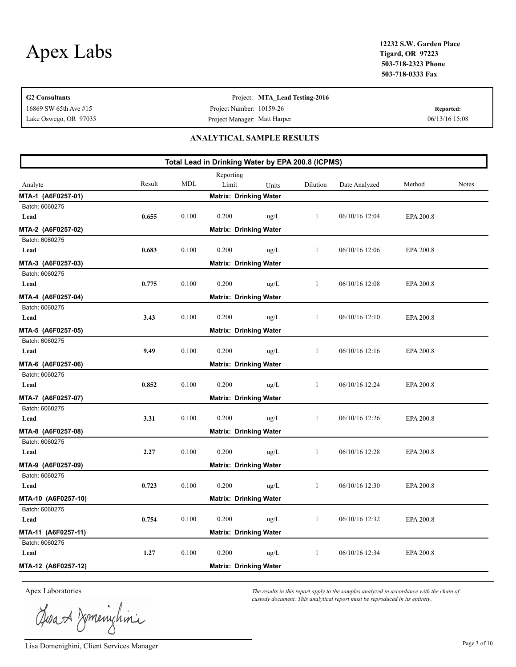| <b>G2 Consultants</b> |                              |            |                                                   | Project: MTA_Lead Testing-2016 |              |                |           |                |  |
|-----------------------|------------------------------|------------|---------------------------------------------------|--------------------------------|--------------|----------------|-----------|----------------|--|
| 16869 SW 65th Ave #15 |                              |            | Project Number: 10159-26                          |                                |              |                |           | Reported:      |  |
| Lake Oswego, OR 97035 | Project Manager: Matt Harper |            |                                                   |                                |              |                |           | 06/13/16 15:08 |  |
|                       |                              |            | <b>ANALYTICAL SAMPLE RESULTS</b>                  |                                |              |                |           |                |  |
|                       |                              |            | Total Lead in Drinking Water by EPA 200.8 (ICPMS) |                                |              |                |           |                |  |
|                       |                              |            | Reporting                                         |                                |              |                |           |                |  |
| Analyte               | Result                       | <b>MDL</b> | Limit                                             | Units                          | Dilution     | Date Analyzed  | Method    | Notes          |  |
| MTA-1 (A6F0257-01)    |                              |            | <b>Matrix: Drinking Water</b>                     |                                |              |                |           |                |  |
| Batch: 6060275        |                              |            |                                                   |                                |              |                |           |                |  |
| Lead                  | 0.655                        | 0.100      | 0.200                                             | $\text{ug/L}$                  | 1            | 06/10/16 12:04 | EPA 200.8 |                |  |
| MTA-2 (A6F0257-02)    |                              |            | <b>Matrix: Drinking Water</b>                     |                                |              |                |           |                |  |
| Batch: 6060275        |                              |            |                                                   |                                |              |                |           |                |  |
| Lead                  | 0.683                        | 0.100      | 0.200                                             | $\text{ug/L}$                  | 1            | 06/10/16 12:06 | EPA 200.8 |                |  |
| MTA-3 (A6F0257-03)    |                              |            | <b>Matrix: Drinking Water</b>                     |                                |              |                |           |                |  |
| Batch: 6060275        |                              |            |                                                   |                                |              |                |           |                |  |
| Lead                  | 0.775                        | 0.100      | 0.200                                             | $\text{ug/L}$                  | 1            | 06/10/16 12:08 | EPA 200.8 |                |  |
| MTA-4 (A6F0257-04)    |                              |            | <b>Matrix: Drinking Water</b>                     |                                |              |                |           |                |  |
| Batch: 6060275        |                              |            |                                                   |                                |              |                |           |                |  |
| Lead                  | 3.43                         | 0.100      | 0.200                                             | $\text{ug/L}$                  | 1            | 06/10/16 12:10 | EPA 200.8 |                |  |
| MTA-5 (A6F0257-05)    |                              |            | <b>Matrix: Drinking Water</b>                     |                                |              |                |           |                |  |
| Batch: 6060275        |                              |            |                                                   |                                |              |                |           |                |  |
| Lead                  | 9.49                         | 0.100      | 0.200                                             | ug/L                           | 1            | 06/10/16 12:16 | EPA 200.8 |                |  |
| MTA-6 (A6F0257-06)    |                              |            | <b>Matrix: Drinking Water</b>                     |                                |              |                |           |                |  |
| Batch: 6060275        |                              |            |                                                   |                                |              |                |           |                |  |
| Lead                  | 0.852                        | 0.100      | 0.200                                             | $\text{ug/L}$                  | 1            | 06/10/16 12:24 | EPA 200.8 |                |  |
| MTA-7 (A6F0257-07)    |                              |            | <b>Matrix: Drinking Water</b>                     |                                |              |                |           |                |  |
| Batch: 6060275        |                              |            |                                                   |                                |              |                |           |                |  |
| Lead                  | 3.31                         | 0.100      | 0.200                                             | $\mu$ g/L                      | 1            | 06/10/16 12:26 | EPA 200.8 |                |  |
| MTA-8 (A6F0257-08)    |                              |            | <b>Matrix: Drinking Water</b>                     |                                |              |                |           |                |  |
| Batch: 6060275        |                              |            |                                                   |                                |              |                |           |                |  |
| Lead                  | 2.27                         | 0.100      | 0.200                                             | $\mu$ g/L                      | 1            | 06/10/16 12:28 | EPA 200.8 |                |  |
| MTA-9 (A6F0257-09)    |                              |            | <b>Matrix: Drinking Water</b>                     |                                |              |                |           |                |  |
| Batch: 6060275        |                              |            |                                                   |                                |              |                |           |                |  |
| Lead                  | 0.723                        | 0.100      | 0.200                                             | ug/L                           | $\mathbf{1}$ | 06/10/16 12:30 | EPA 200.8 |                |  |
| MTA-10 (A6F0257-10)   |                              |            | <b>Matrix: Drinking Water</b>                     |                                |              |                |           |                |  |
| Batch: 6060275        |                              |            |                                                   |                                |              |                |           |                |  |
| Lead                  | 0.754                        | 0.100      | 0.200                                             | $\text{ug/L}$                  | 1            | 06/10/16 12:32 | EPA 200.8 |                |  |
| MTA-11 (A6F0257-11)   |                              |            | <b>Matrix: Drinking Water</b>                     |                                |              |                |           |                |  |
| Batch: 6060275        |                              |            |                                                   |                                |              |                |           |                |  |
| Lead                  | 1.27                         | $0.100\,$  | 0.200                                             | $\text{ug/L}$                  | 1            | 06/10/16 12:34 | EPA 200.8 |                |  |
| MTA-12 (A6F0257-12)   |                              |            | <b>Matrix: Drinking Water</b>                     |                                |              |                |           |                |  |

Josan Domenichina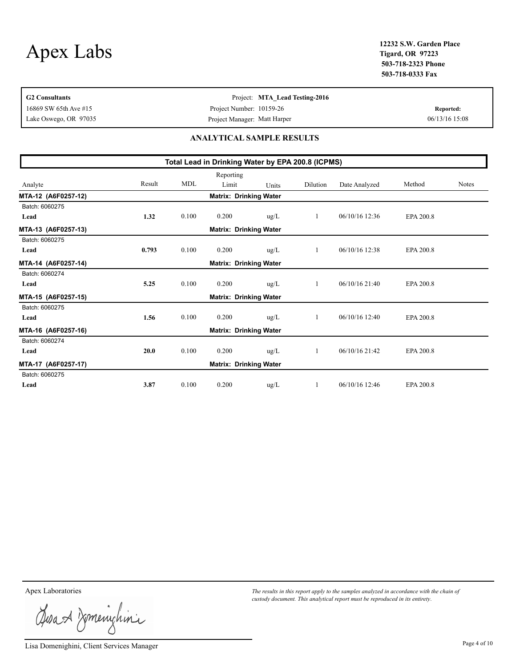**Tigard, OR 97223 503-718-2323 Phone 503-718-0333 Fax**

| <b>G2</b> Consultants                             |                              |       |                               | Project: MTA Lead Testing-2016 |          |                  |                |              |  |  |
|---------------------------------------------------|------------------------------|-------|-------------------------------|--------------------------------|----------|------------------|----------------|--------------|--|--|
| Project Number: 10159-26<br>16869 SW 65th Ave #15 |                              |       |                               |                                |          |                  |                | Reported:    |  |  |
| Lake Oswego, OR 97035                             | Project Manager: Matt Harper |       |                               |                                |          |                  | 06/13/16 15:08 |              |  |  |
| ANALYTICAL SAMPLE RESULTS                         |                              |       |                               |                                |          |                  |                |              |  |  |
| Total Lead in Drinking Water by EPA 200.8 (ICPMS) |                              |       |                               |                                |          |                  |                |              |  |  |
|                                                   |                              |       | Reporting                     |                                |          |                  |                |              |  |  |
| Analyte                                           | Result                       | MDL   | Limit                         | <b>Units</b>                   | Dilution | Date Analyzed    | Method         | <b>Notes</b> |  |  |
| MTA-12 (A6F0257-12)                               |                              |       | <b>Matrix: Drinking Water</b> |                                |          |                  |                |              |  |  |
| Batch: 6060275                                    |                              |       |                               |                                |          |                  |                |              |  |  |
| Lead                                              | 1.32                         | 0.100 | 0.200                         | $\text{ug/L}$                  |          | $06/10/16$ 12:36 | EPA 200.8      |              |  |  |

| MTA-13 (A6F0257-13) |       |       | <b>Matrix: Drinking Water</b> |               |         |                  |           |
|---------------------|-------|-------|-------------------------------|---------------|---------|------------------|-----------|
| Batch: 6060275      |       |       |                               |               |         |                  |           |
| Lead                | 0.793 | 0.100 | 0.200                         | $\mu$ g/L     | $\perp$ | 06/10/16 12:38   | EPA 200.8 |
| MTA-14 (A6F0257-14) |       |       | <b>Matrix: Drinking Water</b> |               |         |                  |           |
| Batch: 6060274      |       |       |                               |               |         |                  |           |
| Lead                | 5.25  | 0.100 | 0.200                         | $\text{ug/L}$ | 1       | $06/10/16$ 21:40 | EPA 200.8 |
| MTA-15 (A6F0257-15) |       |       | <b>Matrix: Drinking Water</b> |               |         |                  |           |
| Batch: 6060275      |       |       |                               |               |         |                  |           |
| Lead                | 1.56  | 0.100 | 0.200                         | $\text{ug/L}$ | 1       | $06/10/16$ 12:40 | EPA 200.8 |
| MTA-16 (A6F0257-16) |       |       | <b>Matrix: Drinking Water</b> |               |         |                  |           |
| Batch: 6060274      |       |       |                               |               |         |                  |           |
| Lead                | 20.0  | 0.100 | 0.200                         | $\mu$ g/L     | 1       | $06/10/16$ 21:42 | EPA 200.8 |
| MTA-17 (A6F0257-17) |       |       | <b>Matrix: Drinking Water</b> |               |         |                  |           |
| Batch: 6060275      |       |       |                               |               |         |                  |           |
| Lead                | 3.87  | 0.100 | 0.200                         | $\text{ug/L}$ |         | $06/10/16$ 12:46 | EPA 200.8 |

Josa & Domenichina

Lisa Domenighini, Client Services Manager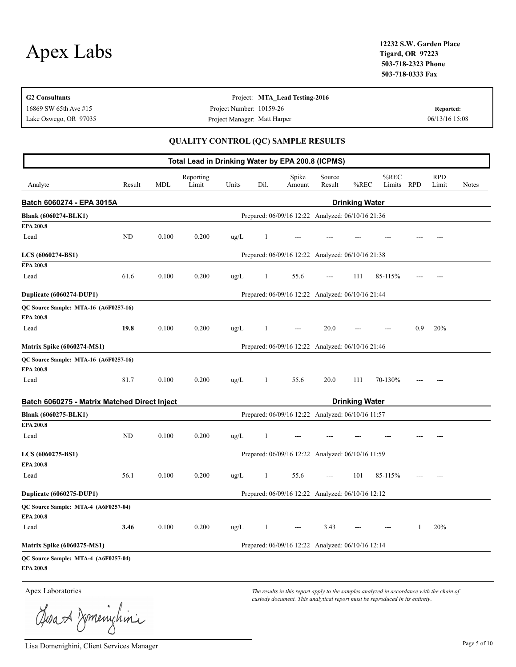| <b>G2 Consultants</b> | Project: MTA Lead Testing-2016 |                |
|-----------------------|--------------------------------|----------------|
| 16869 SW 65th Ave #15 | Project Number: 10159-26       | Reported:      |
| Lake Oswego, OR 97035 | Project Manager: Matt Harper   | 06/13/16 15:08 |
|                       |                                |                |

#### **QUALITY CONTROL (QC) SAMPLE RESULTS**

|                                                           |        |            | Total Lead in Drinking Water by EPA 200.8 (ICPMS) |               |              |                                                   |                  |                       |                |            |                     |       |
|-----------------------------------------------------------|--------|------------|---------------------------------------------------|---------------|--------------|---------------------------------------------------|------------------|-----------------------|----------------|------------|---------------------|-------|
| Analyte                                                   | Result | <b>MDL</b> | Reporting<br>Limit                                | Units         | Dil.         | Spike<br>Amount                                   | Source<br>Result | %REC                  | %REC<br>Limits | <b>RPD</b> | <b>RPD</b><br>Limit | Notes |
| Batch 6060274 - EPA 3015A                                 |        |            |                                                   |               |              |                                                   |                  | <b>Drinking Water</b> |                |            |                     |       |
| <b>Blank (6060274-BLK1)</b>                               |        |            |                                                   |               |              | Prepared: 06/09/16 12:22 Analyzed: 06/10/16 21:36 |                  |                       |                |            |                     |       |
| EPA 200.8                                                 |        |            |                                                   |               |              |                                                   |                  |                       |                |            |                     |       |
| Lead                                                      | ND     | 0.100      | 0.200                                             | $\text{ug/L}$ | 1            |                                                   |                  |                       |                |            |                     |       |
| LCS (6060274-BS1)                                         |        |            |                                                   |               |              | Prepared: 06/09/16 12:22 Analyzed: 06/10/16 21:38 |                  |                       |                |            |                     |       |
| <b>EPA 200.8</b>                                          |        |            |                                                   |               |              |                                                   |                  |                       |                |            |                     |       |
| Lead                                                      | 61.6   | 0.100      | 0.200                                             | ug/L          | 1            | 55.6                                              | $---$            | 111                   | 85-115%        |            |                     |       |
| Duplicate (6060274-DUP1)                                  |        |            |                                                   |               |              | Prepared: 06/09/16 12:22 Analyzed: 06/10/16 21:44 |                  |                       |                |            |                     |       |
| QC Source Sample: MTA-16 (A6F0257-16)<br><b>EPA 200.8</b> |        |            |                                                   |               |              |                                                   |                  |                       |                |            |                     |       |
| Lead                                                      | 19.8   | 0.100      | 0.200                                             | $\text{ug/L}$ | 1            |                                                   | 20.0             |                       |                | 0.9        | 20%                 |       |
| <b>Matrix Spike (6060274-MS1)</b>                         |        |            |                                                   |               |              | Prepared: 06/09/16 12:22 Analyzed: 06/10/16 21:46 |                  |                       |                |            |                     |       |
| QC Source Sample: MTA-16 (A6F0257-16)                     |        |            |                                                   |               |              |                                                   |                  |                       |                |            |                     |       |
| <b>EPA 200.8</b>                                          |        |            |                                                   |               |              |                                                   |                  |                       |                |            |                     |       |
| Lead                                                      | 81.7   | 0.100      | 0.200                                             | $\text{ug/L}$ | $\mathbf{1}$ | 55.6                                              | 20.0             | 111                   | 70-130%        |            |                     |       |
| Batch 6060275 - Matrix Matched Direct Inject              |        |            |                                                   |               |              |                                                   |                  | <b>Drinking Water</b> |                |            |                     |       |
| Blank (6060275-BLK1)                                      |        |            |                                                   |               |              | Prepared: 06/09/16 12:22 Analyzed: 06/10/16 11:57 |                  |                       |                |            |                     |       |
| EPA 200.8                                                 |        |            |                                                   |               |              |                                                   |                  |                       |                |            |                     |       |
| Lead                                                      | ND     | 0.100      | 0.200                                             | $\mu$ g/L     | 1            |                                                   |                  |                       |                |            |                     |       |
| LCS (6060275-BS1)                                         |        |            |                                                   |               |              | Prepared: 06/09/16 12:22 Analyzed: 06/10/16 11:59 |                  |                       |                |            |                     |       |
| <b>EPA 200.8</b>                                          |        |            |                                                   |               |              |                                                   |                  |                       |                |            |                     |       |
| Lead                                                      | 56.1   | 0.100      | 0.200                                             | $\text{ug/L}$ | 1            | 55.6                                              | ---              | 101                   | 85-115%        |            |                     |       |
| Duplicate (6060275-DUP1)                                  |        |            |                                                   |               |              | Prepared: 06/09/16 12:22 Analyzed: 06/10/16 12:12 |                  |                       |                |            |                     |       |
| QC Source Sample: MTA-4 (A6F0257-04)                      |        |            |                                                   |               |              |                                                   |                  |                       |                |            |                     |       |
| <b>EPA 200.8</b>                                          |        |            |                                                   |               |              |                                                   |                  |                       |                |            |                     |       |
| Lead                                                      | 3.46   | 0.100      | 0.200                                             | $\text{ug/L}$ | 1            | $\overline{a}$                                    | 3.43             |                       |                | 1          | 20%                 |       |
| <b>Matrix Spike (6060275-MS1)</b>                         |        |            |                                                   |               |              | Prepared: 06/09/16 12:22 Analyzed: 06/10/16 12:14 |                  |                       |                |            |                     |       |
| QC Source Sample: MTA-4 (A6F0257-04)                      |        |            |                                                   |               |              |                                                   |                  |                       |                |            |                     |       |
| <b>EPA 200.8</b>                                          |        |            |                                                   |               |              |                                                   |                  |                       |                |            |                     |       |

Josan Komenighini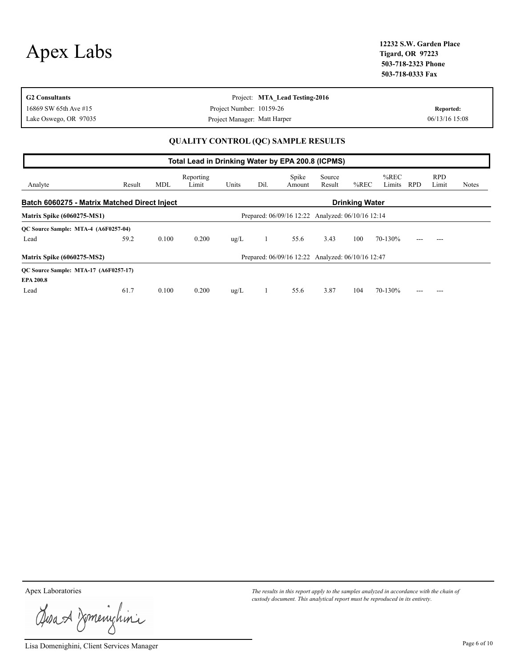|           | 12232 S.W. Garden Place |
|-----------|-------------------------|
| Apex Labs | <b>Tigard, OR 97223</b> |
|           | E03 E10 3333 DL         |

| <b>G2 Consultants</b> | Project: MTA Lead Testing-2016                                                                                        |                |
|-----------------------|-----------------------------------------------------------------------------------------------------------------------|----------------|
| 16869 SW 65th Ave #15 | Project Number: 10159-26                                                                                              | Reported:      |
| Lake Oswego, OR 97035 | Project Manager: Matt Harper                                                                                          | 06/13/16 15:08 |
|                       | $\alpha$ with the second state $\alpha$ and $\alpha$ and $\alpha$ and $\alpha$ and $\alpha$ and $\alpha$ and $\alpha$ |                |

#### **QUALITY CONTROL (QC) SAMPLE RESULTS**

|                                                                       | Total Lead in Drinking Water by EPA 200.8 (ICPMS) |            |                    |               |      |                                                   |                  |         |                   |            |                     |       |
|-----------------------------------------------------------------------|---------------------------------------------------|------------|--------------------|---------------|------|---------------------------------------------------|------------------|---------|-------------------|------------|---------------------|-------|
| Analyte                                                               | Result                                            | <b>MDL</b> | Reporting<br>Limit | Units         | Dil. | Spike<br>Amount                                   | Source<br>Result | $%$ REC | $%$ REC<br>Limits | <b>RPD</b> | <b>RPD</b><br>Limit | Notes |
| Batch 6060275 - Matrix Matched Direct Inject<br><b>Drinking Water</b> |                                                   |            |                    |               |      |                                                   |                  |         |                   |            |                     |       |
| <b>Matrix Spike (6060275-MS1)</b>                                     |                                                   |            |                    |               |      | Prepared: 06/09/16 12:22 Analyzed: 06/10/16 12:14 |                  |         |                   |            |                     |       |
| QC Source Sample: MTA-4 (A6F0257-04)                                  |                                                   |            |                    |               |      |                                                   |                  |         |                   |            |                     |       |
| Lead                                                                  | 59.2                                              | 0.100      | 0.200              | $\text{ug/L}$ |      | 55.6                                              | 3.43             | 100     | 70-130%           |            |                     |       |
| <b>Matrix Spike (6060275-MS2)</b>                                     |                                                   |            |                    |               |      | Prepared: 06/09/16 12:22 Analyzed: 06/10/16 12:47 |                  |         |                   |            |                     |       |
| QC Source Sample: MTA-17 (A6F0257-17)                                 |                                                   |            |                    |               |      |                                                   |                  |         |                   |            |                     |       |
| <b>EPA 200.8</b>                                                      |                                                   |            |                    |               |      |                                                   |                  |         |                   |            |                     |       |
| Lead                                                                  | 61.7                                              | 0.100      | 0.200              | $\text{ug/L}$ |      | 55.6                                              | 3.87             | 104     | 70-130%           |            |                     |       |

Josa & Domenichina

Lisa Domenighini, Client Services Manager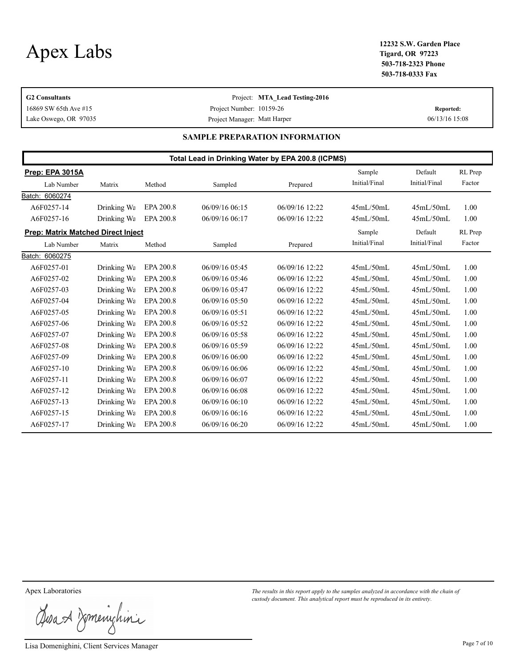**Tigard, OR 97223 503-718-2323 Phone 503-718-0333 Fax**

| <b>G2 Consultants</b> | Project: MTA Lead Testing-2016 |                |
|-----------------------|--------------------------------|----------------|
| 16869 SW 65th Ave #15 | Project Number: 10159-26       | Reported:      |
| Lake Oswego, OR 97035 | Project Manager: Matt Harper   | 06/13/16 15:08 |

#### **SAMPLE PREPARATION INFORMATION**

|                                           | Total Lead in Drinking Water by EPA 200.8 (ICPMS) |           |                |                  |               |               |         |  |
|-------------------------------------------|---------------------------------------------------|-----------|----------------|------------------|---------------|---------------|---------|--|
| Prep: EPA 3015A                           |                                                   |           |                |                  | Sample        | Default       | RL Prep |  |
| Lab Number                                | Matrix                                            | Method    | Sampled        | Prepared         | Initial/Final | Initial/Final | Factor  |  |
| Batch: 6060274                            |                                                   |           |                |                  |               |               |         |  |
| A6F0257-14                                | Drinking Wa                                       | EPA 200.8 | 06/09/16 06:15 | 06/09/16 12:22   | 45mL/50mL     | 45mL/50mL     | 1.00    |  |
| A6F0257-16                                | Drinking Wa                                       | EPA 200.8 | 06/09/16 06:17 | 06/09/16 12:22   | 45mL/50mL     | 45mL/50mL     | 1.00    |  |
| <b>Prep: Matrix Matched Direct Inject</b> |                                                   |           |                |                  | Sample        | Default       | RL Prep |  |
| Lab Number                                | Matrix                                            | Method    | Sampled        | Prepared         | Initial/Final | Initial/Final | Factor  |  |
| Batch: 6060275                            |                                                   |           |                |                  |               |               |         |  |
| A6F0257-01                                | Drinking Wa                                       | EPA 200.8 | 06/09/16 05:45 | 06/09/16 12:22   | 45mL/50mL     | 45mL/50mL     | 1.00    |  |
| A6F0257-02                                | Drinking Wa                                       | EPA 200.8 | 06/09/16 05:46 | $06/09/16$ 12:22 | 45mL/50mL     | 45mL/50mL     | 1.00    |  |
| A6F0257-03                                | Drinking Wa                                       | EPA 200.8 | 06/09/16 05:47 | 06/09/16 12:22   | 45mL/50mL     | 45mL/50mL     | 1.00    |  |
| A6F0257-04                                | Drinking Wa                                       | EPA 200.8 | 06/09/16 05:50 | 06/09/16 12:22   | 45mL/50mL     | 45mL/50mL     | 1.00    |  |
| A6F0257-05                                | Drinking Wa                                       | EPA 200.8 | 06/09/16 05:51 | $06/09/16$ 12:22 | 45mL/50mL     | 45mL/50mL     | 1.00    |  |
| A6F0257-06                                | Drinking Wa                                       | EPA 200.8 | 06/09/16 05:52 | 06/09/16 12:22   | 45mL/50mL     | 45mL/50mL     | 1.00    |  |
| A6F0257-07                                | Drinking Wa                                       | EPA 200.8 | 06/09/16 05:58 | $06/09/16$ 12:22 | 45mL/50mL     | 45mL/50mL     | 1.00    |  |
| A6F0257-08                                | Drinking Wa                                       | EPA 200.8 | 06/09/16 05:59 | 06/09/16 12:22   | 45mL/50mL     | 45mL/50mL     | 1.00    |  |
| A6F0257-09                                | Drinking Wa                                       | EPA 200.8 | 06/09/16 06:00 | 06/09/16 12:22   | 45mL/50mL     | 45mL/50mL     | 1.00    |  |
| A6F0257-10                                | Drinking Wa                                       | EPA 200.8 | 06/09/16 06:06 | 06/09/16 12:22   | 45mL/50mL     | 45mL/50mL     | 1.00    |  |
| A6F0257-11                                | Drinking Wa                                       | EPA 200.8 | 06/09/16 06:07 | $06/09/16$ 12:22 | 45mL/50mL     | 45mL/50mL     | 1.00    |  |
| A6F0257-12                                | Drinking Wa                                       | EPA 200.8 | 06/09/16 06:08 | 06/09/16 12:22   | 45mL/50mL     | 45mL/50mL     | 1.00    |  |
| A6F0257-13                                | Drinking Wa                                       | EPA 200.8 | 06/09/1606:10  | 06/09/16 12:22   | 45mL/50mL     | 45mL/50mL     | 1.00    |  |
| A6F0257-15                                | Drinking Wa                                       | EPA 200.8 | 06/09/16 06:16 | 06/09/16 12:22   | 45mL/50mL     | 45mL/50mL     | 1.00    |  |
| A6F0257-17                                | Drinking Wa                                       | EPA 200.8 | 06/09/16 06:20 | 06/09/16 12:22   | 45mL/50mL     | 45mL/50mL     | 1.00    |  |

Josa & Domenichina

Lisa Domenighini, Client Services Manager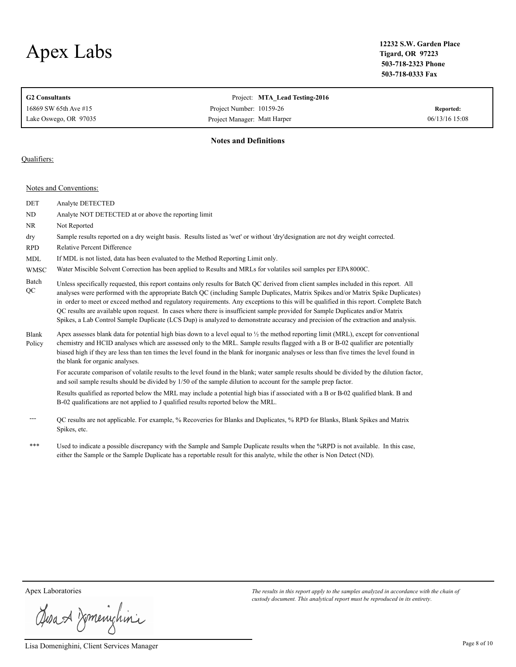**Tigard, OR 97223 503-718-2323 Phone 503-718-0333 Fax**

| <b>G2 Consultants</b><br>16869 SW 65th Ave #15<br>Lake Oswego, OR 97035 | Project: MTA Lead Testing-2016<br>Project Number: 10159-26<br>Project Manager: Matt Harper | Reported:<br>06/13/16 15:08 |
|-------------------------------------------------------------------------|--------------------------------------------------------------------------------------------|-----------------------------|
|                                                                         | <b>Notes and Definitions</b>                                                               |                             |

#### Qualifiers:

Notes and Conventions:

| DET                    | Analyte DETECTED                                                                                                                                                                                                                                                                                                                                                                                                                                                                                                                                                                                                                                                                               |
|------------------------|------------------------------------------------------------------------------------------------------------------------------------------------------------------------------------------------------------------------------------------------------------------------------------------------------------------------------------------------------------------------------------------------------------------------------------------------------------------------------------------------------------------------------------------------------------------------------------------------------------------------------------------------------------------------------------------------|
| ND                     | Analyte NOT DETECTED at or above the reporting limit                                                                                                                                                                                                                                                                                                                                                                                                                                                                                                                                                                                                                                           |
| <b>NR</b>              | Not Reported                                                                                                                                                                                                                                                                                                                                                                                                                                                                                                                                                                                                                                                                                   |
| dry                    | Sample results reported on a dry weight basis. Results listed as 'wet' or without 'dry'designation are not dry weight corrected.                                                                                                                                                                                                                                                                                                                                                                                                                                                                                                                                                               |
| <b>RPD</b>             | <b>Relative Percent Difference</b>                                                                                                                                                                                                                                                                                                                                                                                                                                                                                                                                                                                                                                                             |
| <b>MDL</b>             | If MDL is not listed, data has been evaluated to the Method Reporting Limit only.                                                                                                                                                                                                                                                                                                                                                                                                                                                                                                                                                                                                              |
| <b>WMSC</b>            | Water Miscible Solvent Correction has been applied to Results and MRLs for volatiles soil samples per EPA 8000C.                                                                                                                                                                                                                                                                                                                                                                                                                                                                                                                                                                               |
| Batch<br>QC            | Unless specifically requested, this report contains only results for Batch QC derived from client samples included in this report. All<br>analyses were performed with the appropriate Batch QC (including Sample Duplicates, Matrix Spikes and/or Matrix Spike Duplicates)<br>in order to meet or exceed method and regulatory requirements. Any exceptions to this will be qualified in this report. Complete Batch<br>QC results are available upon request. In cases where there is insufficient sample provided for Sample Duplicates and/or Matrix<br>Spikes, a Lab Control Sample Duplicate (LCS Dup) is analyzed to demonstrate accuracy and precision of the extraction and analysis. |
| <b>Blank</b><br>Policy | Apex assesses blank data for potential high bias down to a level equal to $\frac{1}{2}$ the method reporting limit (MRL), except for conventional<br>chemistry and HCID analyses which are assessed only to the MRL. Sample results flagged with a B or B-02 qualifier are potentially<br>biased high if they are less than ten times the level found in the blank for inorganic analyses or less than five times the level found in<br>the blank for organic analyses.                                                                                                                                                                                                                        |
|                        | For accurate comparison of volatile results to the level found in the blank; water sample results should be divided by the dilution factor,<br>and soil sample results should be divided by 1/50 of the sample dilution to account for the sample prep factor.                                                                                                                                                                                                                                                                                                                                                                                                                                 |
|                        | Results qualified as reported below the MRL may include a potential high bias if associated with a B or B-02 qualified blank. B and<br>B-02 qualifications are not applied to J qualified results reported below the MRL.                                                                                                                                                                                                                                                                                                                                                                                                                                                                      |
|                        | QC results are not applicable. For example, % Recoveries for Blanks and Duplicates, % RPD for Blanks, Blank Spikes and Matrix<br>Spikes, etc.                                                                                                                                                                                                                                                                                                                                                                                                                                                                                                                                                  |

\*\*\* Used to indicate a possible discrepancy with the Sample and Sample Duplicate results when the %RPD is not available. In this case, either the Sample or the Sample Duplicate has a reportable result for this analyte, while the other is Non Detect (ND).

Josan Zmenighini

Lisa Domenighini, Client Services Manager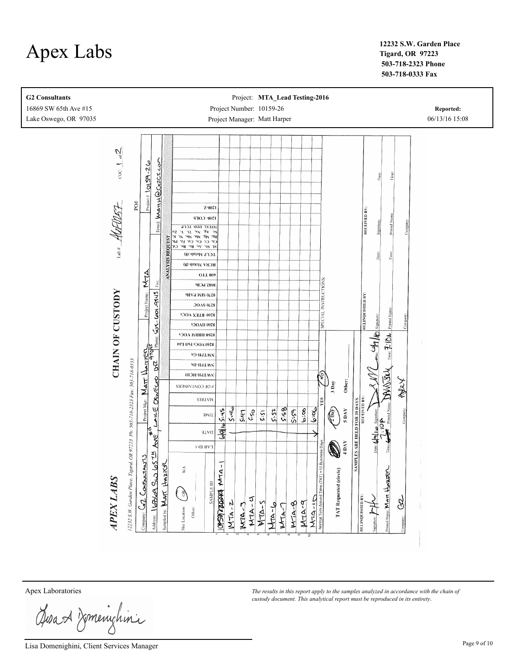**Tigard, OR 97223 503-718-2323 Phone 503-718-0333 Fax**



Josan Zmenighini

Lisa Domenighini, Client Services Manager